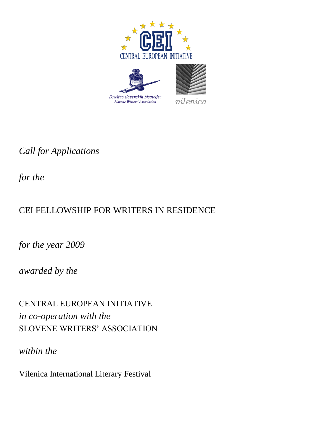





 $vilenica$ 

*Call for Applications* 

*for the*

# CEI FELLOWSHIP FOR WRITERS IN RESIDENCE

*for the year 2009*

*awarded by the*

CENTRAL EUROPEAN INITIATIVE *in co-operation with the* SLOVENE WRITERS' ASSOCIATION

*within the* 

Vilenica International Literary Festival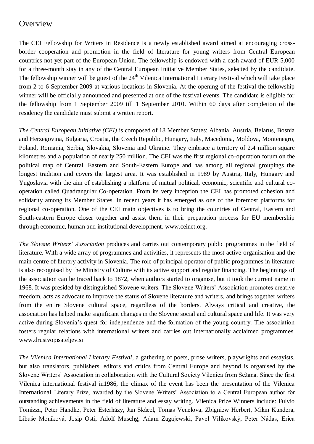#### **Overview**

The CEI Fellowship for Writers in Residence is a newly established award aimed at encouraging crossborder cooperation and promotion in the field of literature for young writers from Central European countries not yet part of the European Union. The fellowship is endowed with a cash award of EUR 5,000 for a three-month stay in any of the Central European Initiative Member States, selected by the candidate. The fellowship winner will be guest of the 24<sup>th</sup> Vilenica International Literary Festival which will take place from 2 to 6 September 2009 at various locations in Slovenia. At the opening of the festival the fellowship winner will be officially announced and presented at one of the festival events. The candidate is eligible for the fellowship from 1 September 2009 till 1 September 2010. Within 60 days after completion of the residency the candidate must submit a written report.

*The Central European Initiative (CEI)* is composed of 18 Member States: Albania, Austria, Belarus, Bosnia and Herzegovina, Bulgaria, Croatia, the Czech Republic, Hungary, Italy, Macedonia, Moldova, Montenegro, Poland, Romania, Serbia, Slovakia, Slovenia and Ukraine. They embrace a territory of 2.4 million square kilometres and a population of nearly 250 million. The CEI was the first regional co-operation forum on the political map of Central, Eastern and South-Eastern Europe and has among all regional groupings the longest tradition and covers the largest area. It was established in 1989 by Austria, Italy, Hungary and Yugoslavia with the aim of establishing a platform of mutual political, economic, scientific and cultural cooperation called Quadrangular Co-operation. From its very inception the CEI has promoted cohesion and solidarity among its Member States. In recent years it has emerged as one of the foremost platforms for regional co-operation. One of the CEI main objectives is to bring the countries of Central, Eastern and South-eastern Europe closer together and assist them in their preparation process for EU membership through economic, human and institutional development. www.ceinet.org.

*The Slovene Writers' Association* produces and carries out contemporary public programmes in the field of literature. With a wide array of programmes and activities, it represents the most active organisation and the main centre of literary activity in Slovenia. The role of principal operator of public programmes in literature is also recognised by the Ministry of Culture with its active support and regular financing. The beginnings of the association can be traced back to 1872, when authors started to organise, but it took the current name in 1968. It was presided by distinguished Slovene writers. The Slovene Writers' Association promotes creative freedom, acts as advocate to improve the status of Slovene literature and writers, and brings together writers from the entire Slovene cultural space, regardless of the borders. Always critical and creative, the association has helped make significant changes in the Slovene social and cultural space and life. It was very active during Slovenia's quest for independence and the formation of the young country. The association fosters regular relations with international writers and carries out internationally acclaimed programmes. www.drustvopisateljev.si

*The Vilenica International Literary Festival*, a gathering of poets, prose writers, playwrights and essayists, but also translators, publishers, editors and critics from Central Europe and beyond is organised by the Slovene Writers' Association in collaboration with the Cultural Society Vilenica from Sežana. Since the first Vilenica international festival in1986, the climax of the event has been the presentation of the Vilenica International Literary Prize, awarded by the Slovene Writers' Association to a Central European author for outstanding achievements in the field of literature and essay writing. Vilenica Prize Winners include: Fulvio Tomizza, Peter Handke, Peter Esterházy, Jan Skácel, Tomas Venclova, Zbigniew Herbert, Milan Kundera, Libuše Moníková, Josip Osti, Adolf Muschg, Adam Zagajewski, Pavel Vilikovský, Peter Nádas, Erica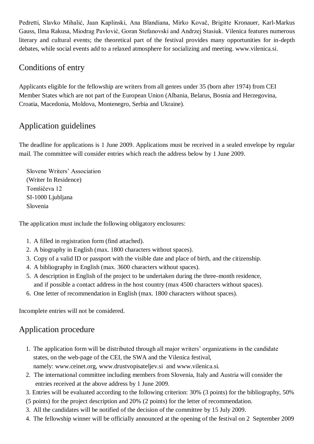Pedretti, Slavko Mihalić, Jaan Kaplinski, Ana Blandiana, Mirko Kovač, Brigitte Kronauer, Karl-Markus Gauss, Ilma Rakusa, Miodrag Pavlović, Goran Stefanovski and Andrzej Stasiuk. Vilenica features numerous literary and cultural events; the theoretical part of the festival provides many opportunities for in-depth debates, while social events add to a relaxed atmosphere for socializing and meeting. www.vilenica.si.

#### Conditions of entry

Applicants eligible for the fellowship are writers from all genres under 35 (born after 1974) from CEI Member States which are not part of the European Union (Albania, Belarus, Bosnia and Herzegovina, Croatia, Macedonia, Moldova, Montenegro, Serbia and Ukraine).

# Application guidelines

The deadline for applications is 1 June 2009. Applications must be received in a sealed envelope by regular mail. The committee will consider entries which reach the address below by 1 June 2009.

Slovene Writers' Association (Writer In Residence) Tomšičeva 12 SI-1000 Liubliana Slovenia

The application must include the following obligatory enclosures:

- 1. A filled in registration form (find attached).
- 2. A biography in English (max. 1800 characters without spaces).
- 3. Copy of a valid ID or passport with the visible date and place of birth, and the citizenship.
- 4. A bibliography in English (max. 3600 characters without spaces).
- 5. A description in English of the project to be undertaken during the three-month residence, and if possible a contact address in the host country (max 4500 characters without spaces).
- 6. One letter of recommendation in English (max. 1800 characters without spaces).

Incomplete entries will not be considered.

### Application procedure

- 1. The application form will be distributed through all major writers' organizations in the candidate states, on the web-page of the CEI, the SWA and the Vilenica festival, namely: www.ceinet.org, [www.drustvopisateljev.si](http://www.drustvopisateljev.si/) and www.vilenica.si.
- 2. The international committee including members from Slovenia, Italy and Austria will consider the entries received at the above address by 1 June 2009.
- 3. Entries will be evaluated according to the following criterion: 30% (3 points) for the bibliography, 50%
- (5 points) for the project description and 20% (2 points) for the letter of recommendation.
- 3. All the candidates will be notified of the decision of the committee by 15 July 2009.
- 4. The fellowship winner will be officially announced at the opening of the festival on 2 September 2009